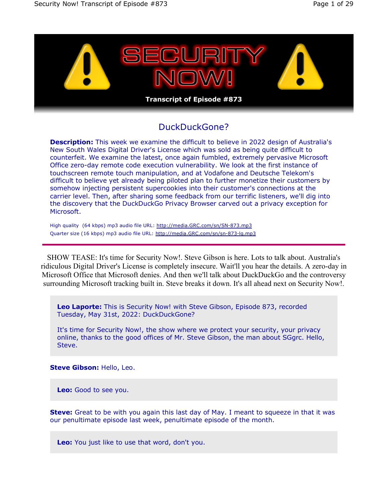

# DuckDuckGone?

**Description:** This week we examine the difficult to believe in 2022 design of Australia's New South Wales Digital Driver's License which was sold as being quite difficult to counterfeit. We examine the latest, once again fumbled, extremely pervasive Microsoft Office zero-day remote code execution vulnerability. We look at the first instance of touchscreen remote touch manipulation, and at Vodafone and Deutsche Telekom's difficult to believe yet already being piloted plan to further monetize their customers by somehow injecting persistent supercookies into their customer's connections at the carrier level. Then, after sharing some feedback from our terrific listeners, we'll dig into the discovery that the DuckDuckGo Privacy Browser carved out a privacy exception for Microsoft.

High quality (64 kbps) mp3 audio file URL: http://media.GRC.com/sn/SN-873.mp3 Quarter size (16 kbps) mp3 audio file URL: http://media.GRC.com/sn/sn-873-lq.mp3

SHOW TEASE: It's time for Security Now!. Steve Gibson is here. Lots to talk about. Australia's ridiculous Digital Driver's License is completely insecure. Wait'll you hear the details. A zero-day in Microsoft Office that Microsoft denies. And then we'll talk about DuckDuckGo and the controversy surrounding Microsoft tracking built in. Steve breaks it down. It's all ahead next on Security Now!.

**Leo Laporte:** This is Security Now! with Steve Gibson, Episode 873, recorded Tuesday, May 31st, 2022: DuckDuckGone?

It's time for Security Now!, the show where we protect your security, your privacy online, thanks to the good offices of Mr. Steve Gibson, the man about SGgrc. Hello, Steve.

**Steve Gibson:** Hello, Leo.

**Leo:** Good to see you.

**Steve:** Great to be with you again this last day of May. I meant to squeeze in that it was our penultimate episode last week, penultimate episode of the month.

**Leo:** You just like to use that word, don't you.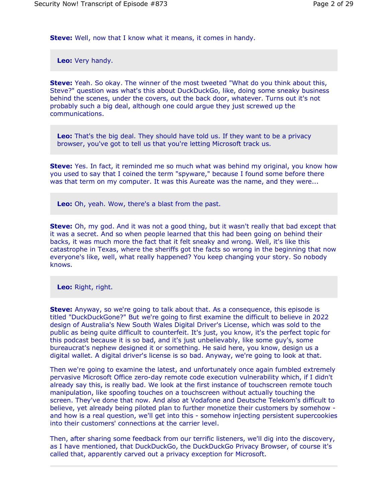**Steve:** Well, now that I know what it means, it comes in handy.

**Leo:** Very handy.

**Steve:** Yeah. So okay. The winner of the most tweeted "What do you think about this, Steve?" question was what's this about DuckDuckGo, like, doing some sneaky business behind the scenes, under the covers, out the back door, whatever. Turns out it's not probably such a big deal, although one could argue they just screwed up the communications.

**Leo:** That's the big deal. They should have told us. If they want to be a privacy browser, you've got to tell us that you're letting Microsoft track us.

**Steve:** Yes. In fact, it reminded me so much what was behind my original, you know how you used to say that I coined the term "spyware," because I found some before there was that term on my computer. It was this Aureate was the name, and they were...

**Leo:** Oh, yeah. Wow, there's a blast from the past.

**Steve:** Oh, my god. And it was not a good thing, but it wasn't really that bad except that it was a secret. And so when people learned that this had been going on behind their backs, it was much more the fact that it felt sneaky and wrong. Well, it's like this catastrophe in Texas, where the sheriffs got the facts so wrong in the beginning that now everyone's like, well, what really happened? You keep changing your story. So nobody knows.

**Leo:** Right, right.

**Steve:** Anyway, so we're going to talk about that. As a consequence, this episode is titled "DuckDuckGone?" But we're going to first examine the difficult to believe in 2022 design of Australia's New South Wales Digital Driver's License, which was sold to the public as being quite difficult to counterfeit. It's just, you know, it's the perfect topic for this podcast because it is so bad, and it's just unbelievably, like some guy's, some bureaucrat's nephew designed it or something. He said here, you know, design us a digital wallet. A digital driver's license is so bad. Anyway, we're going to look at that.

Then we're going to examine the latest, and unfortunately once again fumbled extremely pervasive Microsoft Office zero-day remote code execution vulnerability which, if I didn't already say this, is really bad. We look at the first instance of touchscreen remote touch manipulation, like spoofing touches on a touchscreen without actually touching the screen. They've done that now. And also at Vodafone and Deutsche Telekom's difficult to believe, yet already being piloted plan to further monetize their customers by somehow and how is a real question, we'll get into this - somehow injecting persistent supercookies into their customers' connections at the carrier level.

Then, after sharing some feedback from our terrific listeners, we'll dig into the discovery, as I have mentioned, that DuckDuckGo, the DuckDuckGo Privacy Browser, of course it's called that, apparently carved out a privacy exception for Microsoft.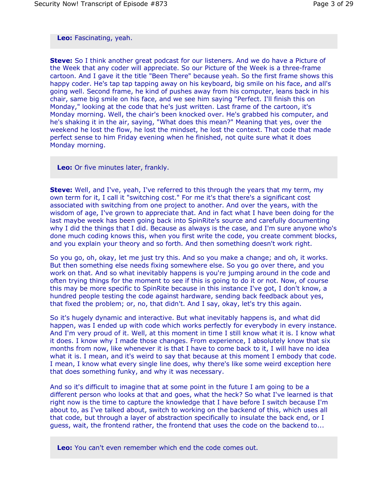# **Leo:** Fascinating, yeah.

**Steve:** So I think another great podcast for our listeners. And we do have a Picture of the Week that any coder will appreciate. So our Picture of the Week is a three-frame cartoon. And I gave it the title "Been There" because yeah. So the first frame shows this happy coder. He's tap tap tapping away on his keyboard, big smile on his face, and all's going well. Second frame, he kind of pushes away from his computer, leans back in his chair, same big smile on his face, and we see him saying "Perfect. I'll finish this on Monday," looking at the code that he's just written. Last frame of the cartoon, it's Monday morning. Well, the chair's been knocked over. He's grabbed his computer, and he's shaking it in the air, saying, "What does this mean?" Meaning that yes, over the weekend he lost the flow, he lost the mindset, he lost the context. That code that made perfect sense to him Friday evening when he finished, not quite sure what it does Monday morning.

**Leo:** Or five minutes later, frankly.

**Steve:** Well, and I've, yeah, I've referred to this through the years that my term, my own term for it, I call it "switching cost." For me it's that there's a significant cost associated with switching from one project to another. And over the years, with the wisdom of age, I've grown to appreciate that. And in fact what I have been doing for the last maybe week has been going back into SpinRite's source and carefully documenting why I did the things that I did. Because as always is the case, and I'm sure anyone who's done much coding knows this, when you first write the code, you create comment blocks, and you explain your theory and so forth. And then something doesn't work right.

So you go, oh, okay, let me just try this. And so you make a change; and oh, it works. But then something else needs fixing somewhere else. So you go over there, and you work on that. And so what inevitably happens is you're jumping around in the code and often trying things for the moment to see if this is going to do it or not. Now, of course this may be more specific to SpinRite because in this instance I've got, I don't know, a hundred people testing the code against hardware, sending back feedback about yes, that fixed the problem; or, no, that didn't. And I say, okay, let's try this again.

So it's hugely dynamic and interactive. But what inevitably happens is, and what did happen, was I ended up with code which works perfectly for everybody in every instance. And I'm very proud of it. Well, at this moment in time I still know what it is. I know what it does. I know why I made those changes. From experience, I absolutely know that six months from now, like whenever it is that I have to come back to it, I will have no idea what it is. I mean, and it's weird to say that because at this moment I embody that code. I mean, I know what every single line does, why there's like some weird exception here that does something funky, and why it was necessary.

And so it's difficult to imagine that at some point in the future I am going to be a different person who looks at that and goes, what the heck? So what I've learned is that right now is the time to capture the knowledge that I have before I switch because I'm about to, as I've talked about, switch to working on the backend of this, which uses all that code, but through a layer of abstraction specifically to insulate the back end, or I guess, wait, the frontend rather, the frontend that uses the code on the backend to...

**Leo:** You can't even remember which end the code comes out.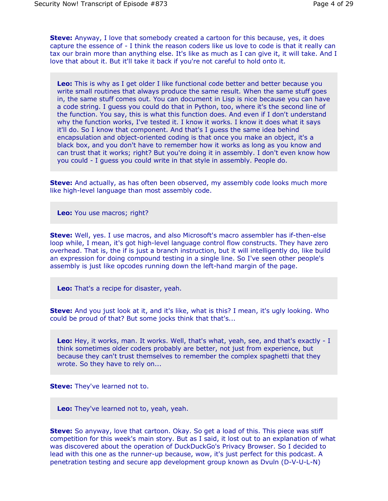**Steve:** Anyway, I love that somebody created a cartoon for this because, yes, it does capture the essence of - I think the reason coders like us love to code is that it really can tax our brain more than anything else. It's like as much as I can give it, it will take. And I love that about it. But it'll take it back if you're not careful to hold onto it.

**Leo:** This is why as I get older I like functional code better and better because you write small routines that always produce the same result. When the same stuff goes in, the same stuff comes out. You can document in Lisp is nice because you can have a code string. I guess you could do that in Python, too, where it's the second line of the function. You say, this is what this function does. And even if I don't understand why the function works, I've tested it. I know it works. I know it does what it says it'll do. So I know that component. And that's I guess the same idea behind encapsulation and object-oriented coding is that once you make an object, it's a black box, and you don't have to remember how it works as long as you know and can trust that it works; right? But you're doing it in assembly. I don't even know how you could - I guess you could write in that style in assembly. People do.

**Steve:** And actually, as has often been observed, my assembly code looks much more like high-level language than most assembly code.

**Leo:** You use macros; right?

**Steve:** Well, yes. I use macros, and also Microsoft's macro assembler has if-then-else loop while, I mean, it's got high-level language control flow constructs. They have zero overhead. That is, the if is just a branch instruction, but it will intelligently do, like build an expression for doing compound testing in a single line. So I've seen other people's assembly is just like opcodes running down the left-hand margin of the page.

**Leo:** That's a recipe for disaster, yeah.

**Steve:** And you just look at it, and it's like, what is this? I mean, it's ugly looking. Who could be proud of that? But some jocks think that that's...

**Leo:** Hey, it works, man. It works. Well, that's what, yeah, see, and that's exactly - I think sometimes older coders probably are better, not just from experience, but because they can't trust themselves to remember the complex spaghetti that they wrote. So they have to rely on...

**Steve:** They've learned not to.

**Leo:** They've learned not to, yeah, yeah.

**Steve:** So anyway, love that cartoon. Okay. So get a load of this. This piece was stiff competition for this week's main story. But as I said, it lost out to an explanation of what was discovered about the operation of DuckDuckGo's Privacy Browser. So I decided to lead with this one as the runner-up because, wow, it's just perfect for this podcast. A penetration testing and secure app development group known as Dvuln (D-V-U-L-N)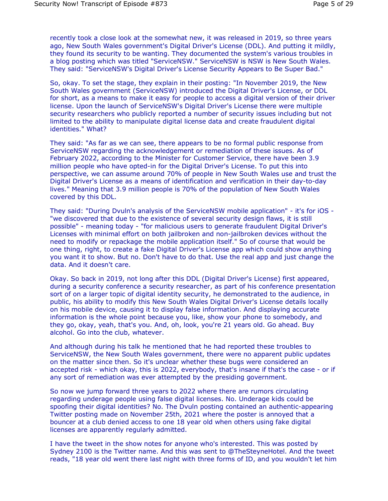recently took a close look at the somewhat new, it was released in 2019, so three years ago, New South Wales government's Digital Driver's License (DDL). And putting it mildly, they found its security to be wanting. They documented the system's various troubles in a blog posting which was titled "ServiceNSW." ServiceNSW is NSW is New South Wales. They said: "ServiceNSW's Digital Driver's License Security Appears to Be Super Bad."

So, okay. To set the stage, they explain in their posting: "In November 2019, the New South Wales government (ServiceNSW) introduced the Digital Driver's License, or DDL for short, as a means to make it easy for people to access a digital version of their driver license. Upon the launch of ServiceNSW's Digital Driver's License there were multiple security researchers who publicly reported a number of security issues including but not limited to the ability to manipulate digital license data and create fraudulent digital identities." What?

They said: "As far as we can see, there appears to be no formal public response from ServiceNSW regarding the acknowledgement or remediation of these issues. As of February 2022, according to the Minister for Customer Service, there have been 3.9 million people who have opted-in for the Digital Driver's License. To put this into perspective, we can assume around 70% of people in New South Wales use and trust the Digital Driver's License as a means of identification and verification in their day-to-day lives." Meaning that 3.9 million people is 70% of the population of New South Wales covered by this DDL.

They said: "During Dvuln's analysis of the ServiceNSW mobile application" - it's for iOS - "we discovered that due to the existence of several security design flaws, it is still possible" - meaning today - "for malicious users to generate fraudulent Digital Driver's Licenses with minimal effort on both jailbroken and non-jailbroken devices without the need to modify or repackage the mobile application itself." So of course that would be one thing, right, to create a fake Digital Driver's License app which could show anything you want it to show. But no. Don't have to do that. Use the real app and just change the data. And it doesn't care.

Okay. So back in 2019, not long after this DDL (Digital Driver's License) first appeared, during a security conference a security researcher, as part of his conference presentation sort of on a larger topic of digital identity security, he demonstrated to the audience, in public, his ability to modify this New South Wales Digital Driver's License details locally on his mobile device, causing it to display false information. And displaying accurate information is the whole point because you, like, show your phone to somebody, and they go, okay, yeah, that's you. And, oh, look, you're 21 years old. Go ahead. Buy alcohol. Go into the club, whatever.

And although during his talk he mentioned that he had reported these troubles to ServiceNSW, the New South Wales government, there were no apparent public updates on the matter since then. So it's unclear whether these bugs were considered an accepted risk - which okay, this is 2022, everybody, that's insane if that's the case - or if any sort of remediation was ever attempted by the presiding government.

So now we jump forward three years to 2022 where there are rumors circulating regarding underage people using false digital licenses. No. Underage kids could be spoofing their digital identities? No. The Dvuln posting contained an authentic-appearing Twitter posting made on November 25th, 2021 where the poster is annoyed that a bouncer at a club denied access to one 18 year old when others using fake digital licenses are apparently regularly admitted.

I have the tweet in the show notes for anyone who's interested. This was posted by Sydney 2100 is the Twitter name. And this was sent to @TheSteyneHotel. And the tweet reads, "18 year old went there last night with three forms of ID, and you wouldn't let him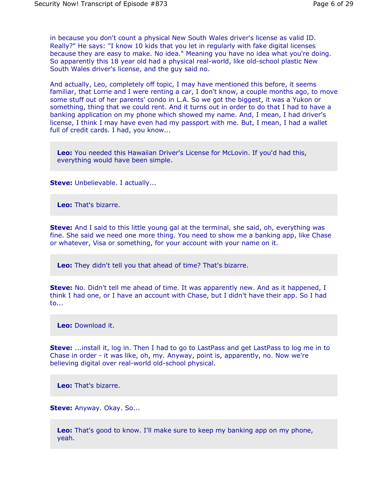in because you don't count a physical New South Wales driver's license as valid ID. Really?" He says: "I know 10 kids that you let in regularly with fake digital licenses because they are easy to make. No idea." Meaning you have no idea what you're doing. So apparently this 18 year old had a physical real-world, like old-school plastic New South Wales driver's license, and the guy said no.

And actually, Leo, completely off topic, I may have mentioned this before, it seems familiar, that Lorrie and I were renting a car, I don't know, a couple months ago, to move some stuff out of her parents' condo in L.A. So we got the biggest, it was a Yukon or something, thing that we could rent. And it turns out in order to do that I had to have a banking application on my phone which showed my name. And, I mean, I had driver's license, I think I may have even had my passport with me. But, I mean, I had a wallet full of credit cards. I had, you know...

**Leo:** You needed this Hawaiian Driver's License for McLovin. If you'd had this, everything would have been simple.

**Steve:** Unbelievable. I actually...

**Leo:** That's bizarre.

**Steve:** And I said to this little young gal at the terminal, she said, oh, everything was fine. She said we need one more thing. You need to show me a banking app, like Chase or whatever, Visa or something, for your account with your name on it.

**Leo:** They didn't tell you that ahead of time? That's bizarre.

**Steve:** No. Didn't tell me ahead of time. It was apparently new. And as it happened, I think I had one, or I have an account with Chase, but I didn't have their app. So I had to...

**Leo:** Download it.

**Steve:** ...install it, log in. Then I had to go to LastPass and get LastPass to log me in to Chase in order - it was like, oh, my. Anyway, point is, apparently, no. Now we're believing digital over real-world old-school physical.

**Leo:** That's bizarre.

**Steve:** Anyway. Okay. So...

**Leo:** That's good to know. I'll make sure to keep my banking app on my phone, yeah.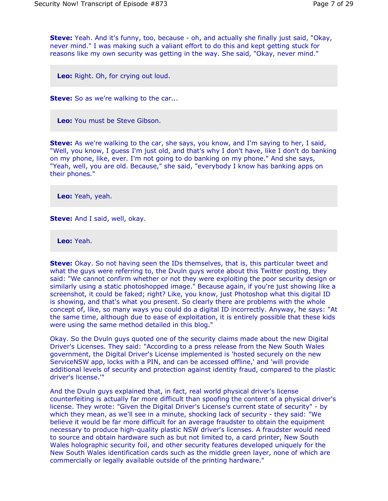**Steve:** Yeah. And it's funny, too, because - oh, and actually she finally just said, "Okay, never mind." I was making such a valiant effort to do this and kept getting stuck for reasons like my own security was getting in the way. She said, "Okay, never mind."

**Leo:** Right. Oh, for crying out loud.

**Steve:** So as we're walking to the car...

**Leo:** You must be Steve Gibson.

**Steve:** As we're walking to the car, she says, you know, and I'm saying to her, I said, "Well, you know, I guess I'm just old, and that's why I don't have, like I don't do banking on my phone, like, ever. I'm not going to do banking on my phone." And she says, "Yeah, well, you are old. Because," she said, "everybody I know has banking apps on their phones."

**Leo:** Yeah, yeah.

**Steve:** And I said, well, okay.

**Leo:** Yeah.

**Steve:** Okay. So not having seen the IDs themselves, that is, this particular tweet and what the guys were referring to, the Dvuln guys wrote about this Twitter posting, they said: "We cannot confirm whether or not they were exploiting the poor security design or similarly using a static photoshopped image." Because again, if you're just showing like a screenshot, it could be faked; right? Like, you know, just Photoshop what this digital ID is showing, and that's what you present. So clearly there are problems with the whole concept of, like, so many ways you could do a digital ID incorrectly. Anyway, he says: "At the same time, although due to ease of exploitation, it is entirely possible that these kids were using the same method detailed in this blog."

Okay. So the Dvuln guys quoted one of the security claims made about the new Digital Driver's Licenses. They said: "According to a press release from the New South Wales government, the Digital Driver's License implemented is 'hosted securely on the new ServiceNSW app, locks with a PIN, and can be accessed offline,' and 'will provide additional levels of security and protection against identity fraud, compared to the plastic driver's license.'"

And the Dvuln guys explained that, in fact, real world physical driver's license counterfeiting is actually far more difficult than spoofing the content of a physical driver's license. They wrote: "Given the Digital Driver's License's current state of security" - by which they mean, as we'll see in a minute, shocking lack of security - they said: "We believe it would be far more difficult for an average fraudster to obtain the equipment necessary to produce high-quality plastic NSW driver's licenses. A fraudster would need to source and obtain hardware such as but not limited to, a card printer, New South Wales holographic security foil, and other security features developed uniquely for the New South Wales identification cards such as the middle green layer, none of which are commercially or legally available outside of the printing hardware."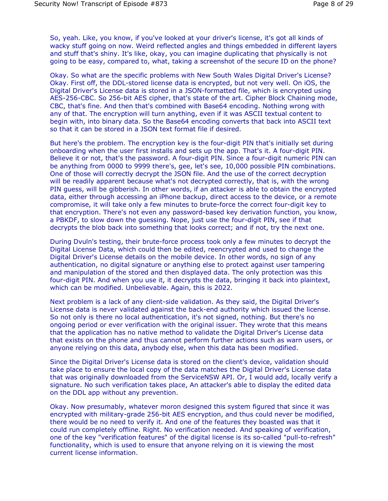So, yeah. Like, you know, if you've looked at your driver's license, it's got all kinds of wacky stuff going on now. Weird reflected angles and things embedded in different layers and stuff that's shiny. It's like, okay, you can imagine duplicating that physically is not going to be easy, compared to, what, taking a screenshot of the secure ID on the phone?

Okay. So what are the specific problems with New South Wales Digital Driver's License? Okay. First off, the DDL-stored license data is encrypted, but not very well. On iOS, the Digital Driver's License data is stored in a JSON-formatted file, which is encrypted using AES-256-CBC. So 256-bit AES cipher, that's state of the art. Cipher Block Chaining mode, CBC, that's fine. And then that's combined with Base64 encoding. Nothing wrong with any of that. The encryption will turn anything, even if it was ASCII textual content to begin with, into binary data. So the Base64 encoding converts that back into ASCII text so that it can be stored in a JSON text format file if desired.

But here's the problem. The encryption key is the four-digit PIN that's initially set during onboarding when the user first installs and sets up the app. That's it. A four-digit PIN. Believe it or not, that's the password. A four-digit PIN. Since a four-digit numeric PIN can be anything from 0000 to 9999 there's, gee, let's see, 10,000 possible PIN combinations. One of those will correctly decrypt the JSON file. And the use of the correct decryption will be readily apparent because what's not decrypted correctly, that is, with the wrong PIN guess, will be gibberish. In other words, if an attacker is able to obtain the encrypted data, either through accessing an iPhone backup, direct access to the device, or a remote compromise, it will take only a few minutes to brute-force the correct four-digit key to that encryption. There's not even any password-based key derivation function, you know, a PBKDF, to slow down the guessing. Nope, just use the four-digit PIN, see if that decrypts the blob back into something that looks correct; and if not, try the next one.

During Dvuln's testing, their brute-force process took only a few minutes to decrypt the Digital License Data, which could then be edited, reencrypted and used to change the Digital Driver's License details on the mobile device. In other words, no sign of any authentication, no digital signature or anything else to protect against user tampering and manipulation of the stored and then displayed data. The only protection was this four-digit PIN. And when you use it, it decrypts the data, bringing it back into plaintext, which can be modified. Unbelievable. Again, this is 2022.

Next problem is a lack of any client-side validation. As they said, the Digital Driver's License data is never validated against the back-end authority which issued the license. So not only is there no local authentication, it's not signed, nothing. But there's no ongoing period or ever verification with the original issuer. They wrote that this means that the application has no native method to validate the Digital Driver's License data that exists on the phone and thus cannot perform further actions such as warn users, or anyone relying on this data, anybody else, when this data has been modified.

Since the Digital Driver's License data is stored on the client's device, validation should take place to ensure the local copy of the data matches the Digital Driver's License data that was originally downloaded from the ServiceNSW API. Or, I would add, locally verify a signature. No such verification takes place, An attacker's able to display the edited data on the DDL app without any prevention.

Okay. Now presumably, whatever moron designed this system figured that since it was encrypted with military-grade 256-bit AES encryption, and thus could never be modified, there would be no need to verify it. And one of the features they boasted was that it could run completely offline. Right. No verification needed. And speaking of verification, one of the key "verification features" of the digital license is its so-called "pull-to-refresh" functionality, which is used to ensure that anyone relying on it is viewing the most current license information.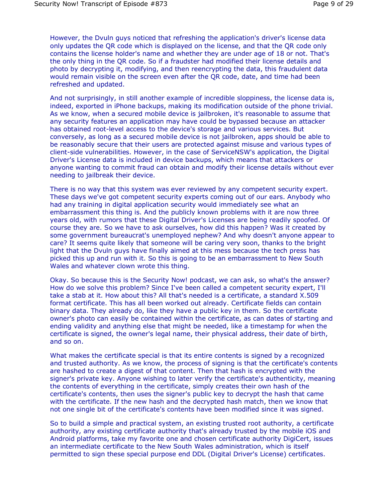However, the Dvuln guys noticed that refreshing the application's driver's license data only updates the QR code which is displayed on the license, and that the QR code only contains the license holder's name and whether they are under age of 18 or not. That's the only thing in the QR code. So if a fraudster had modified their license details and photo by decrypting it, modifying, and then reencrypting the data, this fraudulent data would remain visible on the screen even after the QR code, date, and time had been refreshed and updated.

And not surprisingly, in still another example of incredible sloppiness, the license data is, indeed, exported in iPhone backups, making its modification outside of the phone trivial. As we know, when a secured mobile device is jailbroken, it's reasonable to assume that any security features an application may have could be bypassed because an attacker has obtained root-level access to the device's storage and various services. But conversely, as long as a secured mobile device is not jailbroken, apps should be able to be reasonably secure that their users are protected against misuse and various types of client-side vulnerabilities. However, in the case of ServiceNSW's application, the Digital Driver's License data is included in device backups, which means that attackers or anyone wanting to commit fraud can obtain and modify their license details without ever needing to jailbreak their device.

There is no way that this system was ever reviewed by any competent security expert. These days we've got competent security experts coming out of our ears. Anybody who had any training in digital application security would immediately see what an embarrassment this thing is. And the publicly known problems with it are now three years old, with rumors that these Digital Driver's Licenses are being readily spoofed. Of course they are. So we have to ask ourselves, how did this happen? Was it created by some government bureaucrat's unemployed nephew? And why doesn't anyone appear to care? It seems quite likely that someone will be caring very soon, thanks to the bright light that the Dvuln guys have finally aimed at this mess because the tech press has picked this up and run with it. So this is going to be an embarrassment to New South Wales and whatever clown wrote this thing.

Okay. So because this is the Security Now! podcast, we can ask, so what's the answer? How do we solve this problem? Since I've been called a competent security expert, I'll take a stab at it. How about this? All that's needed is a certificate, a standard X.509 format certificate. This has all been worked out already. Certificate fields can contain binary data. They already do, like they have a public key in them. So the certificate owner's photo can easily be contained within the certificate, as can dates of starting and ending validity and anything else that might be needed, like a timestamp for when the certificate is signed, the owner's legal name, their physical address, their date of birth, and so on.

What makes the certificate special is that its entire contents is signed by a recognized and trusted authority. As we know, the process of signing is that the certificate's contents are hashed to create a digest of that content. Then that hash is encrypted with the signer's private key. Anyone wishing to later verify the certificate's authenticity, meaning the contents of everything in the certificate, simply creates their own hash of the certificate's contents, then uses the signer's public key to decrypt the hash that came with the certificate. If the new hash and the decrypted hash match, then we know that not one single bit of the certificate's contents have been modified since it was signed.

So to build a simple and practical system, an existing trusted root authority, a certificate authority, any existing certificate authority that's already trusted by the mobile iOS and Android platforms, take my favorite one and chosen certificate authority DigiCert, issues an intermediate certificate to the New South Wales administration, which is itself permitted to sign these special purpose end DDL (Digital Driver's License) certificates.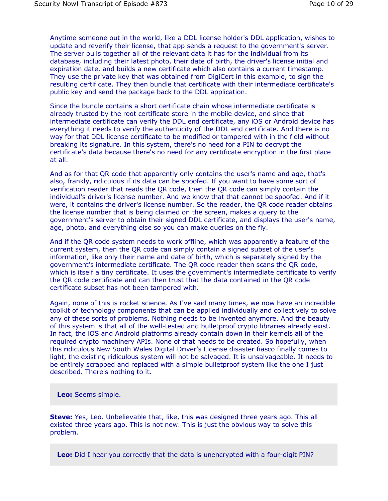Anytime someone out in the world, like a DDL license holder's DDL application, wishes to update and reverify their license, that app sends a request to the government's server. The server pulls together all of the relevant data it has for the individual from its database, including their latest photo, their date of birth, the driver's license initial and expiration date, and builds a new certificate which also contains a current timestamp. They use the private key that was obtained from DigiCert in this example, to sign the resulting certificate. They then bundle that certificate with their intermediate certificate's public key and send the package back to the DDL application.

Since the bundle contains a short certificate chain whose intermediate certificate is already trusted by the root certificate store in the mobile device, and since that intermediate certificate can verify the DDL end certificate, any iOS or Android device has everything it needs to verify the authenticity of the DDL end certificate. And there is no way for that DDL license certificate to be modified or tampered with in the field without breaking its signature. In this system, there's no need for a PIN to decrypt the certificate's data because there's no need for any certificate encryption in the first place at all.

And as for that QR code that apparently only contains the user's name and age, that's also, frankly, ridiculous if its data can be spoofed. If you want to have some sort of verification reader that reads the QR code, then the QR code can simply contain the individual's driver's license number. And we know that that cannot be spoofed. And if it were, it contains the driver's license number. So the reader, the QR code reader obtains the license number that is being claimed on the screen, makes a query to the government's server to obtain their signed DDL certificate, and displays the user's name, age, photo, and everything else so you can make queries on the fly.

And if the QR code system needs to work offline, which was apparently a feature of the current system, then the QR code can simply contain a signed subset of the user's information, like only their name and date of birth, which is separately signed by the government's intermediate certificate. The QR code reader then scans the QR code, which is itself a tiny certificate. It uses the government's intermediate certificate to verify the QR code certificate and can then trust that the data contained in the QR code certificate subset has not been tampered with.

Again, none of this is rocket science. As I've said many times, we now have an incredible toolkit of technology components that can be applied individually and collectively to solve any of these sorts of problems. Nothing needs to be invented anymore. And the beauty of this system is that all of the well-tested and bulletproof crypto libraries already exist. In fact, the iOS and Android platforms already contain down in their kernels all of the required crypto machinery APIs. None of that needs to be created. So hopefully, when this ridiculous New South Wales Digital Driver's License disaster fiasco finally comes to light, the existing ridiculous system will not be salvaged. It is unsalvageable. It needs to be entirely scrapped and replaced with a simple bulletproof system like the one I just described. There's nothing to it.

**Leo:** Seems simple.

**Steve:** Yes, Leo. Unbelievable that, like, this was designed three years ago. This all existed three years ago. This is not new. This is just the obvious way to solve this problem.

**Leo:** Did I hear you correctly that the data is unencrypted with a four-digit PIN?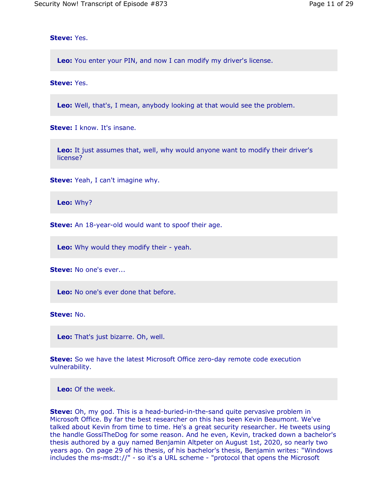**Steve:** Yes.

**Leo:** You enter your PIN, and now I can modify my driver's license.

**Steve:** Yes.

**Leo:** Well, that's, I mean, anybody looking at that would see the problem.

**Steve:** I know. It's insane.

**Leo:** It just assumes that, well, why would anyone want to modify their driver's license?

**Steve:** Yeah, I can't imagine why.

**Leo:** Why?

**Steve:** An 18-year-old would want to spoof their age.

**Leo:** Why would they modify their - yeah.

**Steve:** No one's ever...

**Leo:** No one's ever done that before.

**Steve:** No.

**Leo:** That's just bizarre. Oh, well.

**Steve:** So we have the latest Microsoft Office zero-day remote code execution vulnerability.

**Leo:** Of the week.

**Steve:** Oh, my god. This is a head-buried-in-the-sand quite pervasive problem in Microsoft Office. By far the best researcher on this has been Kevin Beaumont. We've talked about Kevin from time to time. He's a great security researcher. He tweets using the handle GossiTheDog for some reason. And he even, Kevin, tracked down a bachelor's thesis authored by a guy named Benjamin Altpeter on August 1st, 2020, so nearly two years ago. On page 29 of his thesis, of his bachelor's thesis, Benjamin writes: "Windows includes the ms-msdt://" - so it's a URL scheme - "protocol that opens the Microsoft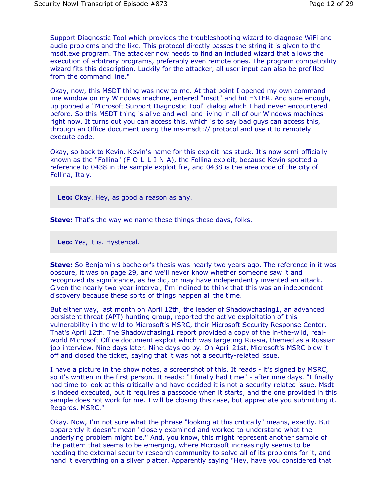Support Diagnostic Tool which provides the troubleshooting wizard to diagnose WiFi and audio problems and the like. This protocol directly passes the string it is given to the msdt.exe program. The attacker now needs to find an included wizard that allows the execution of arbitrary programs, preferably even remote ones. The program compatibility wizard fits this description. Luckily for the attacker, all user input can also be prefilled from the command line."

Okay, now, this MSDT thing was new to me. At that point I opened my own commandline window on my Windows machine, entered "msdt" and hit ENTER. And sure enough, up popped a "Microsoft Support Diagnostic Tool" dialog which I had never encountered before. So this MSDT thing is alive and well and living in all of our Windows machines right now. It turns out you can access this, which is to say bad guys can access this, through an Office document using the ms-msdt:// protocol and use it to remotely execute code.

Okay, so back to Kevin. Kevin's name for this exploit has stuck. It's now semi-officially known as the "Follina" (F-O-L-L-I-N-A), the Follina exploit, because Kevin spotted a reference to 0438 in the sample exploit file, and 0438 is the area code of the city of Follina, Italy.

**Leo:** Okay. Hey, as good a reason as any.

**Steve:** That's the way we name these things these days, folks.

**Leo:** Yes, it is. Hysterical.

**Steve:** So Benjamin's bachelor's thesis was nearly two years ago. The reference in it was obscure, it was on page 29, and we'll never know whether someone saw it and recognized its significance, as he did, or may have independently invented an attack. Given the nearly two-year interval, I'm inclined to think that this was an independent discovery because these sorts of things happen all the time.

But either way, last month on April 12th, the leader of Shadowchasing1, an advanced persistent threat (APT) hunting group, reported the active exploitation of this vulnerability in the wild to Microsoft's MSRC, their Microsoft Security Response Center. That's April 12th. The Shadowchasing1 report provided a copy of the in-the-wild, realworld Microsoft Office document exploit which was targeting Russia, themed as a Russian job interview. Nine days later. Nine days go by. On April 21st, Microsoft's MSRC blew it off and closed the ticket, saying that it was not a security-related issue.

I have a picture in the show notes, a screenshot of this. It reads - it's signed by MSRC, so it's written in the first person. It reads: "I finally had time" - after nine days. "I finally had time to look at this critically and have decided it is not a security-related issue. Msdt is indeed executed, but it requires a passcode when it starts, and the one provided in this sample does not work for me. I will be closing this case, but appreciate you submitting it. Regards, MSRC."

Okay. Now, I'm not sure what the phrase "looking at this critically" means, exactly. But apparently it doesn't mean "closely examined and worked to understand what the underlying problem might be." And, you know, this might represent another sample of the pattern that seems to be emerging, where Microsoft increasingly seems to be needing the external security research community to solve all of its problems for it, and hand it everything on a silver platter. Apparently saying "Hey, have you considered that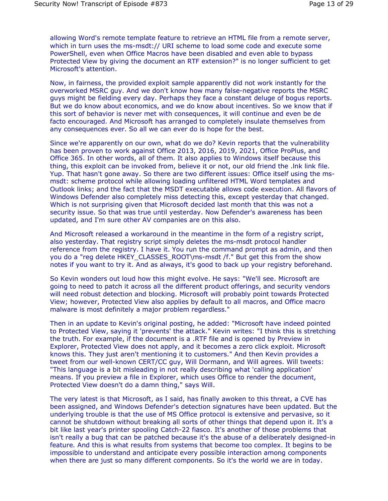allowing Word's remote template feature to retrieve an HTML file from a remote server, which in turn uses the ms-msdt:// URI scheme to load some code and execute some PowerShell, even when Office Macros have been disabled and even able to bypass Protected View by giving the document an RTF extension?" is no longer sufficient to get Microsoft's attention.

Now, in fairness, the provided exploit sample apparently did not work instantly for the overworked MSRC guy. And we don't know how many false-negative reports the MSRC guys might be fielding every day. Perhaps they face a constant deluge of bogus reports. But we do know about economics, and we do know about incentives. So we know that if this sort of behavior is never met with consequences, it will continue and even be de facto encouraged. And Microsoft has arranged to completely insulate themselves from any consequences ever. So all we can ever do is hope for the best.

Since we're apparently on our own, what do we do? Kevin reports that the vulnerability has been proven to work against Office 2013, 2016, 2019, 2021, Office ProPlus, and Office 365. In other words, all of them. It also applies to Windows itself because this thing, this exploit can be invoked from, believe it or not, our old friend the .lnk link file. Yup. That hasn't gone away. So there are two different issues: Office itself using the msmsdt: scheme protocol while allowing loading unfiltered HTML Word templates and Outlook links; and the fact that the MSDT executable allows code execution. All flavors of Windows Defender also completely miss detecting this, except yesterday that changed. Which is not surprising given that Microsoft decided last month that this was not a security issue. So that was true until yesterday. Now Defender's awareness has been updated, and I'm sure other AV companies are on this also.

And Microsoft released a workaround in the meantime in the form of a registry script, also yesterday. That registry script simply deletes the ms-msdt protocol handler reference from the registry. I have it. You run the command prompt as admin, and then you do a "reg delete HKEY\_CLASSES\_ROOT\ms-msdt /f." But get this from the show notes if you want to try it. And as always, it's good to back up your registry beforehand.

So Kevin wonders out loud how this might evolve. He says: "We'll see. Microsoft are going to need to patch it across all the different product offerings, and security vendors will need robust detection and blocking. Microsoft will probably point towards Protected View; however, Protected View also applies by default to all macros, and Office macro malware is most definitely a major problem regardless."

Then in an update to Kevin's original posting, he added: "Microsoft have indeed pointed to Protected View, saying it 'prevents' the attack." Kevin writes: "I think this is stretching the truth. For example, if the document is a .RTF file and is opened by Preview in Explorer, Protected View does not apply, and it becomes a zero click exploit. Microsoft knows this. They just aren't mentioning it to customers." And then Kevin provides a tweet from our well-known CERT/CC guy, Will Dormann, and Will agrees. Will tweets: "This language is a bit misleading in not really describing what 'calling application' means. If you preview a file in Explorer, which uses Office to render the document, Protected View doesn't do a damn thing," says Will.

The very latest is that Microsoft, as I said, has finally awoken to this threat, a CVE has been assigned, and Windows Defender's detection signatures have been updated. But the underlying trouble is that the use of MS Office protocol is extensive and pervasive, so it cannot be shutdown without breaking all sorts of other things that depend upon it. It's a bit like last year's printer spooling Catch-22 fiasco. It's another of those problems that isn't really a bug that can be patched because it's the abuse of a deliberately designed-in feature. And this is what results from systems that become too complex. It begins to be impossible to understand and anticipate every possible interaction among components when there are just so many different components. So it's the world we are in today.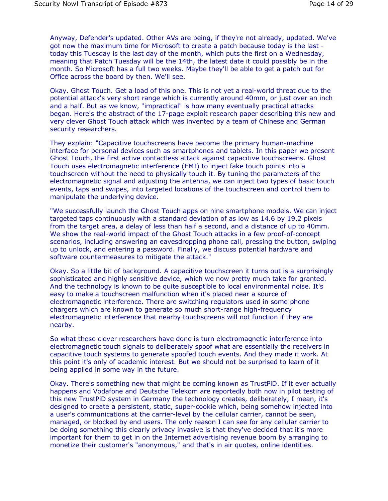Anyway, Defender's updated. Other AVs are being, if they're not already, updated. We've got now the maximum time for Microsoft to create a patch because today is the last today this Tuesday is the last day of the month, which puts the first on a Wednesday, meaning that Patch Tuesday will be the 14th, the latest date it could possibly be in the month. So Microsoft has a full two weeks. Maybe they'll be able to get a patch out for Office across the board by then. We'll see.

Okay. Ghost Touch. Get a load of this one. This is not yet a real-world threat due to the potential attack's very short range which is currently around 40mm, or just over an inch and a half. But as we know, "impractical" is how many eventually practical attacks began. Here's the abstract of the 17-page exploit research paper describing this new and very clever Ghost Touch attack which was invented by a team of Chinese and German security researchers.

They explain: "Capacitive touchscreens have become the primary human-machine interface for personal devices such as smartphones and tablets. In this paper we present Ghost Touch, the first active contactless attack against capacitive touchscreens. Ghost Touch uses electromagnetic interference (EMI) to inject fake touch points into a touchscreen without the need to physically touch it. By tuning the parameters of the electromagnetic signal and adjusting the antenna, we can inject two types of basic touch events, taps and swipes, into targeted locations of the touchscreen and control them to manipulate the underlying device.

"We successfully launch the Ghost Touch apps on nine smartphone models. We can inject targeted taps continuously with a standard deviation of as low as 14.6 by 19.2 pixels from the target area, a delay of less than half a second, and a distance of up to 40mm. We show the real-world impact of the Ghost Touch attacks in a few proof-of-concept scenarios, including answering an eavesdropping phone call, pressing the button, swiping up to unlock, and entering a password. Finally, we discuss potential hardware and software countermeasures to mitigate the attack."

Okay. So a little bit of background. A capacitive touchscreen it turns out is a surprisingly sophisticated and highly sensitive device, which we now pretty much take for granted. And the technology is known to be quite susceptible to local environmental noise. It's easy to make a touchscreen malfunction when it's placed near a source of electromagnetic interference. There are switching regulators used in some phone chargers which are known to generate so much short-range high-frequency electromagnetic interference that nearby touchscreens will not function if they are nearby.

So what these clever researchers have done is turn electromagnetic interference into electromagnetic touch signals to deliberately spoof what are essentially the receivers in capacitive touch systems to generate spoofed touch events. And they made it work. At this point it's only of academic interest. But we should not be surprised to learn of it being applied in some way in the future.

Okay. There's something new that might be coming known as TrustPiD. If it ever actually happens and Vodafone and Deutsche Telekom are reportedly both now in pilot testing of this new TrustPiD system in Germany the technology creates, deliberately, I mean, it's designed to create a persistent, static, super-cookie which, being somehow injected into a user's communications at the carrier-level by the cellular carrier, cannot be seen, managed, or blocked by end users. The only reason I can see for any cellular carrier to be doing something this clearly privacy invasive is that they've decided that it's more important for them to get in on the Internet advertising revenue boom by arranging to monetize their customer's "anonymous," and that's in air quotes, online identities.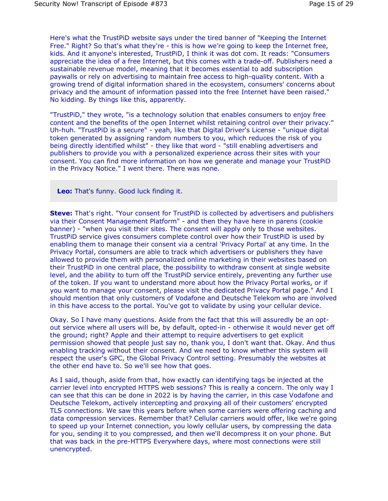Here's what the TrustPiD website says under the tired banner of "Keeping the Internet Free." Right? So that's what they're - this is how we're going to keep the Internet free, kids. And it anyone's interested, TrustPiD, I think it was dot com. It reads: "Consumers appreciate the idea of a free Internet, but this comes with a trade-off. Publishers need a sustainable revenue model, meaning that it becomes essential to add subscription paywalls or rely on advertising to maintain free access to high-quality content. With a growing trend of digital information shared in the ecosystem, consumers' concerns about privacy and the amount of information passed into the free Internet have been raised." No kidding. By things like this, apparently.

"TrustPiD," they wrote, "is a technology solution that enables consumers to enjoy free content and the benefits of the open Internet whilst retaining control over their privacy." Uh-huh. "TrustPiD is a secure" - yeah, like that Digital Driver's License - "unique digital token generated by assigning random numbers to you, which reduces the risk of you being directly identified whilst" - they like that word - "still enabling advertisers and publishers to provide you with a personalized experience across their sites with your consent. You can find more information on how we generate and manage your TrustPiD in the Privacy Notice." I went there. There was none.

**Leo:** That's funny. Good luck finding it.

**Steve:** That's right. "Your consent for TrustPiD is collected by advertisers and publishers via their Consent Management Platform" - and then they have here in parens (cookie banner) - "when you visit their sites. The consent will apply only to those websites. TrustPiD service gives consumers complete control over how their TrustPiD is used by enabling them to manage their consent via a central 'Privacy Portal' at any time. In the Privacy Portal, consumers are able to track which advertisers or publishers they have allowed to provide them with personalized online marketing in their websites based on their TrustPiD in one central place, the possibility to withdraw consent at single website level, and the ability to turn off the TrustPiD service entirely, preventing any further use of the token. If you want to understand more about how the Privacy Portal works, or if you want to manage your consent, please visit the dedicated Privacy Portal page." And I should mention that only customers of Vodafone and Deutsche Telekom who are involved in this have access to the portal. You've got to validate by using your cellular device.

Okay. So I have many questions. Aside from the fact that this will assuredly be an optout service where all users will be, by default, opted-in - otherwise it would never get off the ground; right? Apple and their attempt to require advertisers to get explicit permission showed that people just say no, thank you, I don't want that. Okay. And thus enabling tracking without their consent. And we need to know whether this system will respect the user's GPC, the Global Privacy Control setting. Presumably the websites at the other end have to. So we'll see how that goes.

As I said, though, aside from that, how exactly can identifying tags be injected at the carrier level into encrypted HTTPS web sessions? This is really a concern. The only way I can see that this can be done in 2022 is by having the carrier, in this case Vodafone and Deutsche Telekom, actively intercepting and proxying all of their customers' encrypted TLS connections. We saw this years before when some carriers were offering caching and data compression services. Remember that? Cellular carriers would offer, like we're going to speed up your Internet connection, you lowly cellular users, by compressing the data for you, sending it to you compressed, and then we'll decompress it on your phone. But that was back in the pre-HTTPS Everywhere days, where most connections were still unencrypted.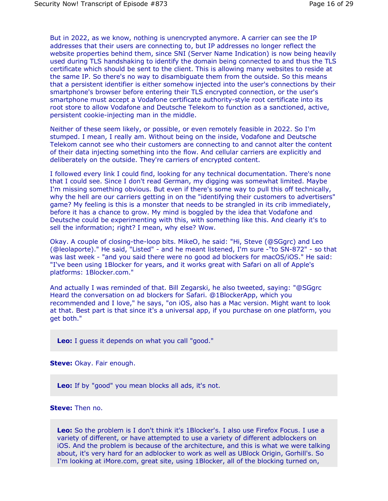But in 2022, as we know, nothing is unencrypted anymore. A carrier can see the IP addresses that their users are connecting to, but IP addresses no longer reflect the website properties behind them, since SNI (Server Name Indication) is now being heavily used during TLS handshaking to identify the domain being connected to and thus the TLS certificate which should be sent to the client. This is allowing many websites to reside at the same IP. So there's no way to disambiguate them from the outside. So this means that a persistent identifier is either somehow injected into the user's connections by their smartphone's browser before entering their TLS encrypted connection, or the user's smartphone must accept a Vodafone certificate authority-style root certificate into its root store to allow Vodafone and Deutsche Telekom to function as a sanctioned, active, persistent cookie-injecting man in the middle.

Neither of these seem likely, or possible, or even remotely feasible in 2022. So I'm stumped. I mean, I really am. Without being on the inside, Vodafone and Deutsche Telekom cannot see who their customers are connecting to and cannot alter the content of their data injecting something into the flow. And cellular carriers are explicitly and deliberately on the outside. They're carriers of encrypted content.

I followed every link I could find, looking for any technical documentation. There's none that I could see. Since I don't read German, my digging was somewhat limited. Maybe I'm missing something obvious. But even if there's some way to pull this off technically, why the hell are our carriers getting in on the "identifying their customers to advertisers" game? My feeling is this is a monster that needs to be strangled in its crib immediately, before it has a chance to grow. My mind is boggled by the idea that Vodafone and Deutsche could be experimenting with this, with something like this. And clearly it's to sell the information; right? I mean, why else? Wow.

Okay. A couple of closing-the-loop bits. MikeO, he said: "Hi, Steve (@SGgrc) and Leo (@leolaporte)." He said, "Listed" - and he meant listened, I'm sure -"to SN-872" - so that was last week - "and you said there were no good ad blockers for macOS/iOS." He said: "I've been using 1Blocker for years, and it works great with Safari on all of Apple's platforms: 1Blocker.com."

And actually I was reminded of that. Bill Zegarski, he also tweeted, saying: "@SGgrc Heard the conversation on ad blockers for Safari. @1BlockerApp, which you recommended and I love," he says, "on iOS, also has a Mac version. Might want to look at that. Best part is that since it's a universal app, if you purchase on one platform, you get both."

**Leo:** I guess it depends on what you call "good."

**Steve:** Okay. Fair enough.

**Leo:** If by "good" you mean blocks all ads, it's not.

**Steve:** Then no.

**Leo:** So the problem is I don't think it's 1Blocker's. I also use Firefox Focus. I use a variety of different, or have attempted to use a variety of different adblockers on iOS. And the problem is because of the architecture, and this is what we were talking about, it's very hard for an adblocker to work as well as UBlock Origin, Gorhill's. So I'm looking at iMore.com, great site, using 1Blocker, all of the blocking turned on,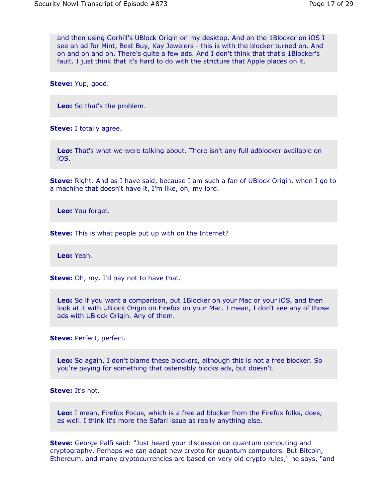and then using Gorhill's UBlock Origin on my desktop. And on the 1Blocker on iOS I see an ad for Mint, Best Buy, Kay Jewelers - this is with the blocker turned on. And on and on and on. There's quite a few ads. And I don't think that that's 1Blocker's fault. I just think that it's hard to do with the stricture that Apple places on it.

**Steve:** Yup, good.

**Leo:** So that's the problem.

**Steve:** I totally agree.

**Leo:** That's what we were talking about. There isn't any full adblocker available on iOS.

**Steve:** Right. And as I have said, because I am such a fan of UBlock Origin, when I go to a machine that doesn't have it, I'm like, oh, my lord.

**Leo:** You forget.

**Steve:** This is what people put up with on the Internet?

**Leo:** Yeah.

**Steve:** Oh, my. I'd pay not to have that.

**Leo:** So if you want a comparison, put 1Blocker on your Mac or your iOS, and then look at it with UBlock Origin on Firefox on your Mac. I mean, I don't see any of those ads with UBlock Origin. Any of them.

**Steve:** Perfect, perfect.

**Leo:** So again, I don't blame these blockers, although this is not a free blocker. So you're paying for something that ostensibly blocks ads, but doesn't.

**Steve:** It's not.

**Leo:** I mean, Firefox Focus, which is a free ad blocker from the Firefox folks, does, as well. I think it's more the Safari issue as really anything else.

**Steve:** George Palfi said: "Just heard your discussion on quantum computing and cryptography. Perhaps we can adapt new crypto for quantum computers. But Bitcoin, Ethereum, and many cryptocurrencies are based on very old crypto rules," he says, "and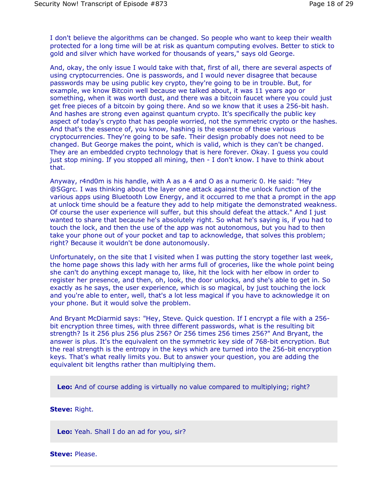I don't believe the algorithms can be changed. So people who want to keep their wealth protected for a long time will be at risk as quantum computing evolves. Better to stick to gold and silver which have worked for thousands of years," says old George.

And, okay, the only issue I would take with that, first of all, there are several aspects of using cryptocurrencies. One is passwords, and I would never disagree that because passwords may be using public key crypto, they're going to be in trouble. But, for example, we know Bitcoin well because we talked about, it was 11 years ago or something, when it was worth dust, and there was a bitcoin faucet where you could just get free pieces of a bitcoin by going there. And so we know that it uses a 256-bit hash. And hashes are strong even against quantum crypto. It's specifically the public key aspect of today's crypto that has people worried, not the symmetric crypto or the hashes. And that's the essence of, you know, hashing is the essence of these various cryptocurrencies. They're going to be safe. Their design probably does not need to be changed. But George makes the point, which is valid, which is they can't be changed. They are an embedded crypto technology that is here forever. Okay. I guess you could just stop mining. If you stopped all mining, then - I don't know. I have to think about that.

Anyway, r4nd0m is his handle, with A as a 4 and O as a numeric 0. He said: "Hey @SGgrc. I was thinking about the layer one attack against the unlock function of the various apps using Bluetooth Low Energy, and it occurred to me that a prompt in the app at unlock time should be a feature they add to help mitigate the demonstrated weakness. Of course the user experience will suffer, but this should defeat the attack." And I just wanted to share that because he's absolutely right. So what he's saying is, if you had to touch the lock, and then the use of the app was not autonomous, but you had to then take your phone out of your pocket and tap to acknowledge, that solves this problem; right? Because it wouldn't be done autonomously.

Unfortunately, on the site that I visited when I was putting the story together last week, the home page shows this lady with her arms full of groceries, like the whole point being she can't do anything except manage to, like, hit the lock with her elbow in order to register her presence, and then, oh, look, the door unlocks, and she's able to get in. So exactly as he says, the user experience, which is so magical, by just touching the lock and you're able to enter, well, that's a lot less magical if you have to acknowledge it on your phone. But it would solve the problem.

And Bryant McDiarmid says: "Hey, Steve. Quick question. If I encrypt a file with a 256 bit encryption three times, with three different passwords, what is the resulting bit strength? Is it 256 plus 256 plus 256? Or 256 times 256 times 256?" And Bryant, the answer is plus. It's the equivalent on the symmetric key side of 768-bit encryption. But the real strength is the entropy in the keys which are turned into the 256-bit encryption keys. That's what really limits you. But to answer your question, you are adding the equivalent bit lengths rather than multiplying them.

**Leo:** And of course adding is virtually no value compared to multiplying; right?

### **Steve:** Right.

**Leo:** Yeah. Shall I do an ad for you, sir?

**Steve:** Please.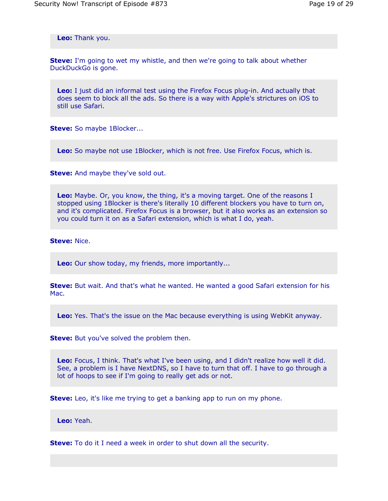**Leo:** Thank you.

**Steve:** I'm going to wet my whistle, and then we're going to talk about whether DuckDuckGo is gone.

**Leo:** I just did an informal test using the Firefox Focus plug-in. And actually that does seem to block all the ads. So there is a way with Apple's strictures on iOS to still use Safari.

**Steve:** So maybe 1Blocker...

**Leo:** So maybe not use 1Blocker, which is not free. Use Firefox Focus, which is.

**Steve:** And maybe they've sold out.

**Leo:** Maybe. Or, you know, the thing, it's a moving target. One of the reasons I stopped using 1Blocker is there's literally 10 different blockers you have to turn on, and it's complicated. Firefox Focus is a browser, but it also works as an extension so you could turn it on as a Safari extension, which is what I do, yeah.

**Steve:** Nice.

**Leo:** Our show today, my friends, more importantly...

**Steve:** But wait. And that's what he wanted. He wanted a good Safari extension for his Mac.

**Leo:** Yes. That's the issue on the Mac because everything is using WebKit anyway.

**Steve:** But you've solved the problem then.

**Leo:** Focus, I think. That's what I've been using, and I didn't realize how well it did. See, a problem is I have NextDNS, so I have to turn that off. I have to go through a lot of hoops to see if I'm going to really get ads or not.

**Steve:** Leo, it's like me trying to get a banking app to run on my phone.

**Leo:** Yeah.

**Steve:** To do it I need a week in order to shut down all the security.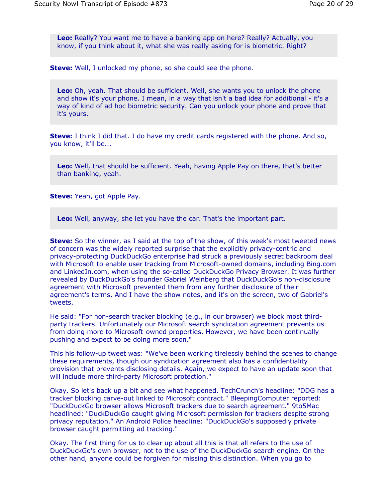**Leo:** Really? You want me to have a banking app on here? Really? Actually, you know, if you think about it, what she was really asking for is biometric. Right?

**Steve:** Well, I unlocked my phone, so she could see the phone.

**Leo:** Oh, yeah. That should be sufficient. Well, she wants you to unlock the phone and show it's your phone. I mean, in a way that isn't a bad idea for additional - it's a way of kind of ad hoc biometric security. Can you unlock your phone and prove that it's yours.

**Steve:** I think I did that. I do have my credit cards registered with the phone. And so, you know, it'll be...

**Leo:** Well, that should be sufficient. Yeah, having Apple Pay on there, that's better than banking, yeah.

**Steve:** Yeah, got Apple Pay.

**Leo:** Well, anyway, she let you have the car. That's the important part.

**Steve:** So the winner, as I said at the top of the show, of this week's most tweeted news of concern was the widely reported surprise that the explicitly privacy-centric and privacy-protecting DuckDuckGo enterprise had struck a previously secret backroom deal with Microsoft to enable user tracking from Microsoft-owned domains, including Bing.com and LinkedIn.com, when using the so-called DuckDuckGo Privacy Browser. It was further revealed by DuckDuckGo's founder Gabriel Weinberg that DuckDuckGo's non-disclosure agreement with Microsoft prevented them from any further disclosure of their agreement's terms. And I have the show notes, and it's on the screen, two of Gabriel's tweets.

He said: "For non-search tracker blocking (e.g., in our browser) we block most thirdparty trackers. Unfortunately our Microsoft search syndication agreement prevents us from doing more to Microsoft-owned properties. However, we have been continually pushing and expect to be doing more soon."

This his follow-up tweet was: "We've been working tirelessly behind the scenes to change these requirements, though our syndication agreement also has a confidentiality provision that prevents disclosing details. Again, we expect to have an update soon that will include more third-party Microsoft protection."

Okay. So let's back up a bit and see what happened. TechCrunch's headline: "DDG has a tracker blocking carve-out linked to Microsoft contract." BleepingComputer reported: "DuckDuckGo browser allows Microsoft trackers due to search agreement." 9to5Mac headlined: "DuckDuckGo caught giving Microsoft permission for trackers despite strong privacy reputation." An Android Police headline: "DuckDuckGo's supposedly private browser caught permitting ad tracking."

Okay. The first thing for us to clear up about all this is that all refers to the use of DuckDuckGo's own browser, not to the use of the DuckDuckGo search engine. On the other hand, anyone could be forgiven for missing this distinction. When you go to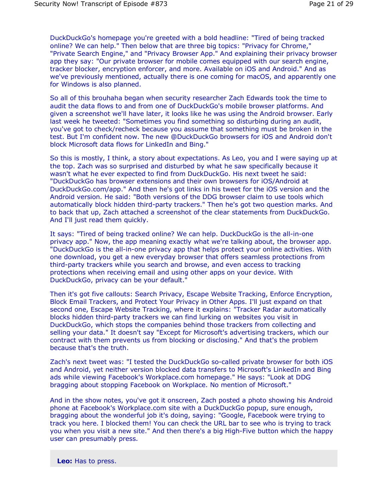DuckDuckGo's homepage you're greeted with a bold headline: "Tired of being tracked online? We can help." Then below that are three big topics: "Privacy for Chrome," "Private Search Engine," and "Privacy Browser App." And explaining their privacy browser app they say: "Our private browser for mobile comes equipped with our search engine, tracker blocker, encryption enforcer, and more. Available on iOS and Android." And as we've previously mentioned, actually there is one coming for macOS, and apparently one for Windows is also planned.

So all of this brouhaha began when security researcher Zach Edwards took the time to audit the data flows to and from one of DuckDuckGo's mobile browser platforms. And given a screenshot we'll have later, it looks like he was using the Android browser. Early last week he tweeted: "Sometimes you find something so disturbing during an audit, you've got to check/recheck because you assume that something must be broken in the test. But I'm confident now. The new @DuckDuckGo browsers for iOS and Android don't block Microsoft data flows for LinkedIn and Bing."

So this is mostly, I think, a story about expectations. As Leo, you and I were saying up at the top. Zach was so surprised and disturbed by what he saw specifically because it wasn't what he ever expected to find from DuckDuckGo. His next tweet he said: "DuckDuckGo has browser extensions and their own browsers for iOS/Android at DuckDuckGo.com/app." And then he's got links in his tweet for the iOS version and the Android version. He said: "Both versions of the DDG browser claim to use tools which automatically block hidden third-party trackers." Then he's got two question marks. And to back that up, Zach attached a screenshot of the clear statements from DuckDuckGo. And I'll just read them quickly.

It says: "Tired of being tracked online? We can help. DuckDuckGo is the all-in-one privacy app." Now, the app meaning exactly what we're talking about, the browser app. "DuckDuckGo is the all-in-one privacy app that helps protect your online activities. With one download, you get a new everyday browser that offers seamless protections from third-party trackers while you search and browse, and even access to tracking protections when receiving email and using other apps on your device. With DuckDuckGo, privacy can be your default."

Then it's got five callouts: Search Privacy, Escape Website Tracking, Enforce Encryption, Block Email Trackers, and Protect Your Privacy in Other Apps. I'll just expand on that second one, Escape Website Tracking, where it explains: "Tracker Radar automatically blocks hidden third-party trackers we can find lurking on websites you visit in DuckDuckGo, which stops the companies behind those trackers from collecting and selling your data." It doesn't say "Except for Microsoft's advertising trackers, which our contract with them prevents us from blocking or disclosing." And that's the problem because that's the truth.

Zach's next tweet was: "I tested the DuckDuckGo so-called private browser for both iOS and Android, yet neither version blocked data transfers to Microsoft's LinkedIn and Bing ads while viewing Facebook's Workplace.com homepage." He says: "Look at DDG bragging about stopping Facebook on Workplace. No mention of Microsoft."

And in the show notes, you've got it onscreen, Zach posted a photo showing his Android phone at Facebook's Workplace.com site with a DuckDuckGo popup, sure enough, bragging about the wonderful job it's doing, saying: "Google, Facebook were trying to track you here. I blocked them! You can check the URL bar to see who is trying to track you when you visit a new site." And then there's a big High-Five button which the happy user can presumably press.

**Leo:** Has to press.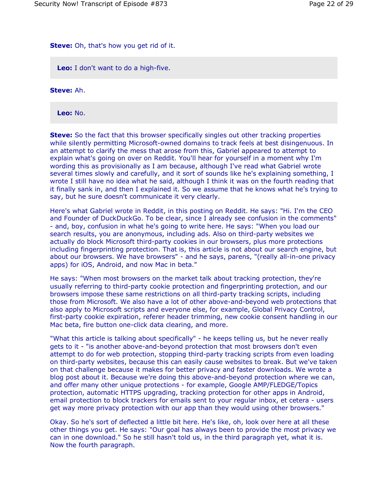# **Steve:** Oh, that's how you get rid of it.

**Leo:** I don't want to do a high-five.

**Steve:** Ah.

**Leo:** No.

**Steve:** So the fact that this browser specifically singles out other tracking properties while silently permitting Microsoft-owned domains to track feels at best disingenuous. In an attempt to clarify the mess that arose from this, Gabriel appeared to attempt to explain what's going on over on Reddit. You'll hear for yourself in a moment why I'm wording this as provisionally as I am because, although I've read what Gabriel wrote several times slowly and carefully, and it sort of sounds like he's explaining something, I wrote I still have no idea what he said, although I think it was on the fourth reading that it finally sank in, and then I explained it. So we assume that he knows what he's trying to say, but he sure doesn't communicate it very clearly.

Here's what Gabriel wrote in Reddit, in this posting on Reddit. He says: "Hi. I'm the CEO and Founder of DuckDuckGo. To be clear, since I already see confusion in the comments" - and, boy, confusion in what he's going to write here. He says: "When you load our search results, you are anonymous, including ads. Also on third-party websites we actually do block Microsoft third-party cookies in our browsers, plus more protections including fingerprinting protection. That is, this article is not about our search engine, but about our browsers. We have browsers" - and he says, parens, "(really all-in-one privacy apps) for iOS, Android, and now Mac in beta."

He says: "When most browsers on the market talk about tracking protection, they're usually referring to third-party cookie protection and fingerprinting protection, and our browsers impose these same restrictions on all third-party tracking scripts, including those from Microsoft. We also have a lot of other above-and-beyond web protections that also apply to Microsoft scripts and everyone else, for example, Global Privacy Control, first-party cookie expiration, referer header trimming, new cookie consent handling in our Mac beta, fire button one-click data clearing, and more.

"What this article is talking about specifically" - he keeps telling us, but he never really gets to it - "is another above-and-beyond protection that most browsers don't even attempt to do for web protection, stopping third-party tracking scripts from even loading on third-party websites, because this can easily cause websites to break. But we've taken on that challenge because it makes for better privacy and faster downloads. We wrote a blog post about it. Because we're doing this above-and-beyond protection where we can, and offer many other unique protections - for example, Google AMP/FLEDGE/Topics protection, automatic HTTPS upgrading, tracking protection for other apps in Android, email protection to block trackers for emails sent to your regular inbox, et cetera - users get way more privacy protection with our app than they would using other browsers."

Okay. So he's sort of deflected a little bit here. He's like, oh, look over here at all these other things you get. He says: "Our goal has always been to provide the most privacy we can in one download." So he still hasn't told us, in the third paragraph yet, what it is. Now the fourth paragraph.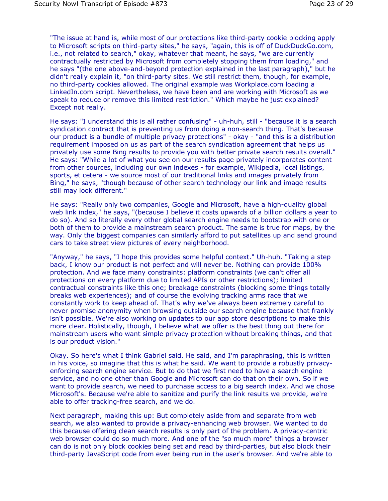"The issue at hand is, while most of our protections like third-party cookie blocking apply to Microsoft scripts on third-party sites," he says, "again, this is off of DuckDuckGo.com, i.e., not related to search," okay, whatever that meant, he says, "we are currently contractually restricted by Microsoft from completely stopping them from loading," and he says "(the one above-and-beyond protection explained in the last paragraph)," but he didn't really explain it, "on third-party sites. We still restrict them, though, for example, no third-party cookies allowed. The original example was Workplace.com loading a LinkedIn.com script. Nevertheless, we have been and are working with Microsoft as we speak to reduce or remove this limited restriction." Which maybe he just explained? Except not really.

He says: "I understand this is all rather confusing" - uh-huh, still - "because it is a search syndication contract that is preventing us from doing a non-search thing. That's because our product is a bundle of multiple privacy protections" - okay - "and this is a distribution requirement imposed on us as part of the search syndication agreement that helps us privately use some Bing results to provide you with better private search results overall." He says: "While a lot of what you see on our results page privately incorporates content from other sources, including our own indexes - for example, Wikipedia, local listings, sports, et cetera - we source most of our traditional links and images privately from Bing," he says, "though because of other search technology our link and image results still may look different."

He says: "Really only two companies, Google and Microsoft, have a high-quality global web link index," he says, "(because I believe it costs upwards of a billion dollars a year to do so). And so literally every other global search engine needs to bootstrap with one or both of them to provide a mainstream search product. The same is true for maps, by the way. Only the biggest companies can similarly afford to put satellites up and send ground cars to take street view pictures of every neighborhood.

"Anyway," he says, "I hope this provides some helpful context." Uh-huh. "Taking a step back, I know our product is not perfect and will never be. Nothing can provide 100% protection. And we face many constraints: platform constraints (we can't offer all protections on every platform due to limited APIs or other restrictions); limited contractual constraints like this one; breakage constraints (blocking some things totally breaks web experiences); and of course the evolving tracking arms race that we constantly work to keep ahead of. That's why we've always been extremely careful to never promise anonymity when browsing outside our search engine because that frankly isn't possible. We're also working on updates to our app store descriptions to make this more clear. Holistically, though, I believe what we offer is the best thing out there for mainstream users who want simple privacy protection without breaking things, and that is our product vision."

Okay. So here's what I think Gabriel said. He said, and I'm paraphrasing, this is written in his voice, so imagine that this is what he said. We want to provide a robustly privacyenforcing search engine service. But to do that we first need to have a search engine service, and no one other than Google and Microsoft can do that on their own. So if we want to provide search, we need to purchase access to a big search index. And we chose Microsoft's. Because we're able to sanitize and purify the link results we provide, we're able to offer tracking-free search, and we do.

Next paragraph, making this up: But completely aside from and separate from web search, we also wanted to provide a privacy-enhancing web browser. We wanted to do this because offering clean search results is only part of the problem. A privacy-centric web browser could do so much more. And one of the "so much more" things a browser can do is not only block cookies being set and read by third-parties, but also block their third-party JavaScript code from ever being run in the user's browser. And we're able to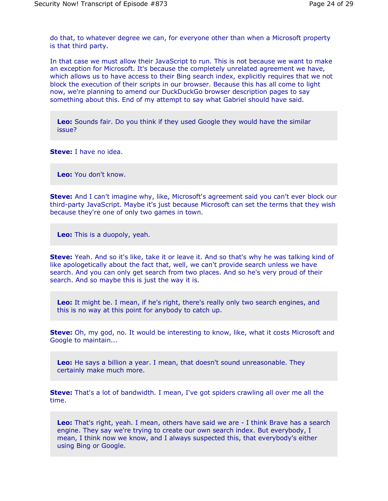do that, to whatever degree we can, for everyone other than when a Microsoft property is that third party.

In that case we must allow their JavaScript to run. This is not because we want to make an exception for Microsoft. It's because the completely unrelated agreement we have, which allows us to have access to their Bing search index, explicitly requires that we not block the execution of their scripts in our browser. Because this has all come to light now, we're planning to amend our DuckDuckGo browser description pages to say something about this. End of my attempt to say what Gabriel should have said.

**Leo:** Sounds fair. Do you think if they used Google they would have the similar issue?

**Steve:** I have no idea.

**Leo:** You don't know.

**Steve:** And I can't imagine why, like, Microsoft's agreement said you can't ever block our third-party JavaScript. Maybe it's just because Microsoft can set the terms that they wish because they're one of only two games in town.

**Leo:** This is a duopoly, yeah.

**Steve:** Yeah. And so it's like, take it or leave it. And so that's why he was talking kind of like apologetically about the fact that, well, we can't provide search unless we have search. And you can only get search from two places. And so he's very proud of their search. And so maybe this is just the way it is.

**Leo:** It might be. I mean, if he's right, there's really only two search engines, and this is no way at this point for anybody to catch up.

**Steve:** Oh, my god, no. It would be interesting to know, like, what it costs Microsoft and Google to maintain...

**Leo:** He says a billion a year. I mean, that doesn't sound unreasonable. They certainly make much more.

**Steve:** That's a lot of bandwidth. I mean, I've got spiders crawling all over me all the time.

**Leo:** That's right, yeah. I mean, others have said we are - I think Brave has a search engine. They say we're trying to create our own search index. But everybody, I mean, I think now we know, and I always suspected this, that everybody's either using Bing or Google.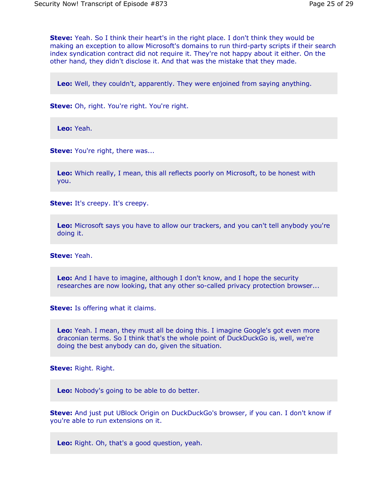**Steve:** Yeah. So I think their heart's in the right place. I don't think they would be making an exception to allow Microsoft's domains to run third-party scripts if their search index syndication contract did not require it. They're not happy about it either. On the other hand, they didn't disclose it. And that was the mistake that they made.

**Leo:** Well, they couldn't, apparently. They were enjoined from saying anything.

**Steve:** Oh, right. You're right. You're right.

**Leo:** Yeah.

**Steve:** You're right, there was...

**Leo:** Which really, I mean, this all reflects poorly on Microsoft, to be honest with you.

**Steve:** It's creepy. It's creepy.

**Leo:** Microsoft says you have to allow our trackers, and you can't tell anybody you're doing it.

**Steve:** Yeah.

**Leo:** And I have to imagine, although I don't know, and I hope the security researches are now looking, that any other so-called privacy protection browser...

**Steve:** Is offering what it claims.

**Leo:** Yeah. I mean, they must all be doing this. I imagine Google's got even more draconian terms. So I think that's the whole point of DuckDuckGo is, well, we're doing the best anybody can do, given the situation.

**Steve:** Right. Right.

**Leo:** Nobody's going to be able to do better.

**Steve:** And just put UBlock Origin on DuckDuckGo's browser, if you can. I don't know if you're able to run extensions on it.

**Leo:** Right. Oh, that's a good question, yeah.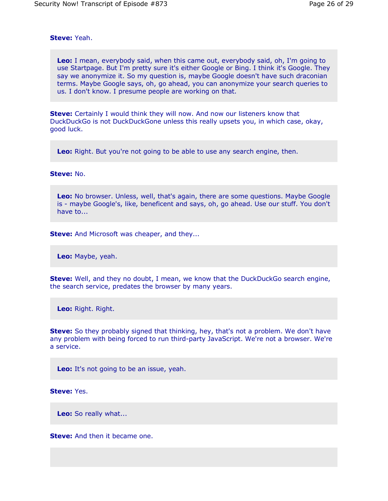# **Steve:** Yeah.

**Leo:** I mean, everybody said, when this came out, everybody said, oh, I'm going to use Startpage. But I'm pretty sure it's either Google or Bing. I think it's Google. They say we anonymize it. So my question is, maybe Google doesn't have such draconian terms. Maybe Google says, oh, go ahead, you can anonymize your search queries to us. I don't know. I presume people are working on that.

**Steve:** Certainly I would think they will now. And now our listeners know that DuckDuckGo is not DuckDuckGone unless this really upsets you, in which case, okay, good luck.

**Leo:** Right. But you're not going to be able to use any search engine, then.

### **Steve:** No.

**Leo:** No browser. Unless, well, that's again, there are some questions. Maybe Google is - maybe Google's, like, beneficent and says, oh, go ahead. Use our stuff. You don't have to...

**Steve:** And Microsoft was cheaper, and they...

**Leo:** Maybe, yeah.

**Steve:** Well, and they no doubt, I mean, we know that the DuckDuckGo search engine, the search service, predates the browser by many years.

**Leo:** Right. Right.

**Steve:** So they probably signed that thinking, hey, that's not a problem. We don't have any problem with being forced to run third-party JavaScript. We're not a browser. We're a service.

**Leo:** It's not going to be an issue, yeah.

**Steve:** Yes.

**Leo:** So really what...

**Steve:** And then it became one.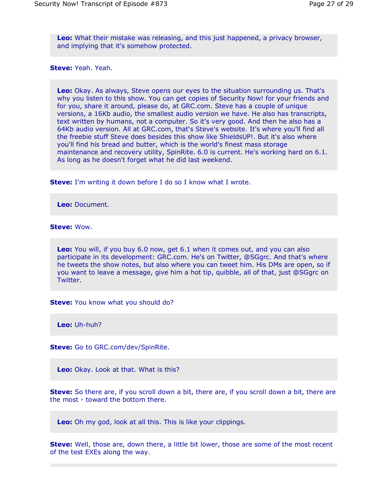**Leo:** What their mistake was releasing, and this just happened, a privacy browser, and implying that it's somehow protected.

#### **Steve:** Yeah. Yeah.

**Leo:** Okay. As always, Steve opens our eyes to the situation surrounding us. That's why you listen to this show. You can get copies of Security Now! for your friends and for you, share it around, please do, at GRC.com. Steve has a couple of unique versions, a 16Kb audio, the smallest audio version we have. He also has transcripts, text written by humans, not a computer. So it's very good. And then he also has a 64Kb audio version. All at GRC.com, that's Steve's website. It's where you'll find all the freebie stuff Steve does besides this show like ShieldsUP!. But it's also where you'll find his bread and butter, which is the world's finest mass storage maintenance and recovery utility, SpinRite. 6.0 is current. He's working hard on 6.1. As long as he doesn't forget what he did last weekend.

**Steve:** I'm writing it down before I do so I know what I wrote.

**Leo:** Document.

**Steve:** Wow.

**Leo:** You will, if you buy 6.0 now, get 6.1 when it comes out, and you can also participate in its development: GRC.com. He's on Twitter, @SGgrc. And that's where he tweets the show notes, but also where you can tweet him. His DMs are open, so if you want to leave a message, give him a hot tip, quibble, all of that, just @SGgrc on Twitter.

**Steve:** You know what you should do?

**Leo:** Uh-huh?

**Steve:** Go to GRC.com/dev/SpinRite.

**Leo:** Okay. Look at that. What is this?

**Steve:** So there are, if you scroll down a bit, there are, if you scroll down a bit, there are the most - toward the bottom there.

**Leo:** Oh my god, look at all this. This is like your clippings.

**Steve:** Well, those are, down there, a little bit lower, those are some of the most recent of the test EXEs along the way.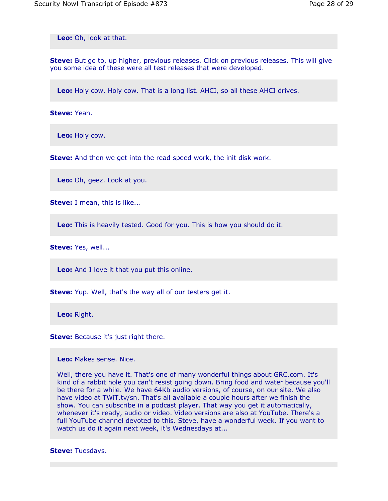**Leo:** Oh, look at that.

**Steve:** But go to, up higher, previous releases. Click on previous releases. This will give you some idea of these were all test releases that were developed.

**Leo:** Holy cow. Holy cow. That is a long list. AHCI, so all these AHCI drives.

**Steve:** Yeah.

**Leo:** Holy cow.

**Steve:** And then we get into the read speed work, the init disk work.

**Leo:** Oh, geez. Look at you.

**Steve:** I mean, this is like...

**Leo:** This is heavily tested. Good for you. This is how you should do it.

**Steve:** Yes, well...

**Leo:** And I love it that you put this online.

**Steve:** Yup. Well, that's the way all of our testers get it.

**Leo:** Right.

**Steve:** Because it's just right there.

**Leo:** Makes sense. Nice.

Well, there you have it. That's one of many wonderful things about GRC.com. It's kind of a rabbit hole you can't resist going down. Bring food and water because you'll be there for a while. We have 64Kb audio versions, of course, on our site. We also have video at TWiT.tv/sn. That's all available a couple hours after we finish the show. You can subscribe in a podcast player. That way you get it automatically, whenever it's ready, audio or video. Video versions are also at YouTube. There's a full YouTube channel devoted to this. Steve, have a wonderful week. If you want to watch us do it again next week, it's Wednesdays at...

**Steve:** Tuesdays.